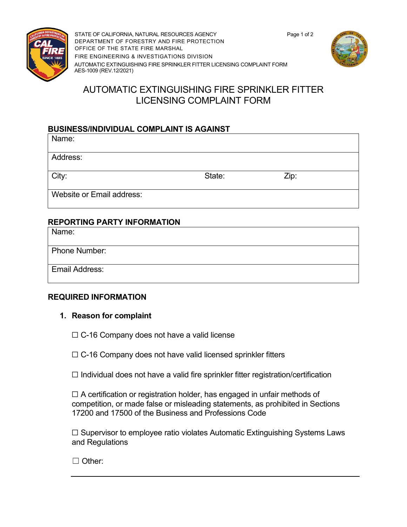

STATE OF CALIFORNIA, NATURAL RESOURCES AGENCY **Page 1 of 2** DEPARTMENT OF FORESTRY AND FIRE PROTECTION OFFICE OF THE STATE FIRE MARSHAL FIRE ENGINEERING & INVESTIGATIONS DIVISION AUTOMATIC EXTINGUISHING FIRE SPRINKLER FITTER LICENSING COMPLAINT FORM AES-1009 (REV.12/2021)



# AUTOMATIC EXTINGUISHING FIRE SPRINKLER FITTER LICENSING COMPLAINT FORM

## **BUSINESS/INDIVIDUAL COMPLAINT IS AGAINST**

| Name:                     |        |      |  |
|---------------------------|--------|------|--|
| Address:                  |        |      |  |
| City:                     | State: | Zip: |  |
| Website or Email address: |        |      |  |
|                           |        |      |  |

### **REPORTING PARTY INFORMATION**

| Name:                 |  |
|-----------------------|--|
| Phone Number:         |  |
|                       |  |
| <b>Email Address:</b> |  |
|                       |  |

### **REQUIRED INFORMATION**

### **1. Reason for complaint**

 $\Box$  C-16 Company does not have a valid license

 $\Box$  C-16 Company does not have valid licensed sprinkler fitters

 $\Box$  Individual does not have a valid fire sprinkler fitter registration/certification

 $\Box$  A certification or registration holder, has engaged in unfair methods of competition, or made false or misleading statements, as prohibited in Sections 17200 and 17500 of the Business and Professions Code

 $\Box$  Supervisor to employee ratio violates Automatic Extinguishing Systems Laws and Regulations

☐ Other: